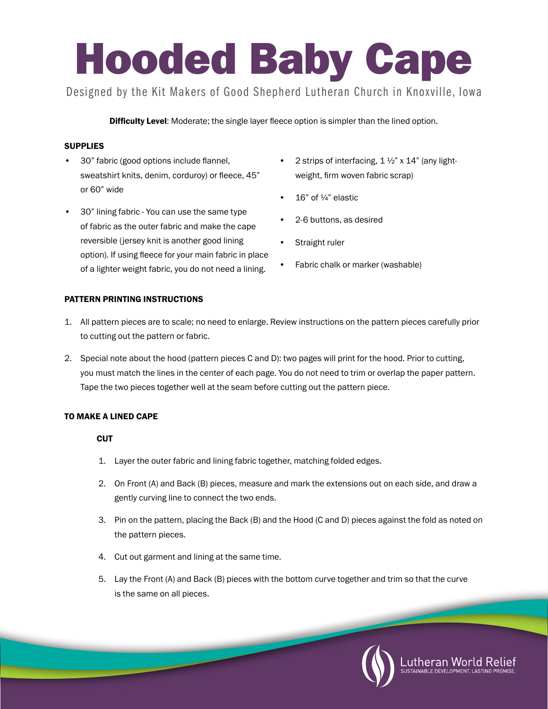# Hooded Baby Cape

Designed by the Kit Makers of Good Shepherd Lutheran Church in Knoxville, Iowa

**Difficulty Level:** Moderate; the single layer fleece option is simpler than the lined option.

# **SUPPLIES**

- 30" fabric (good options include flannel, sweatshirt knits, denim, corduroy) or fleece, 45" or 60" wide
- 30" lining fabric You can use the same type of fabric as the outer fabric and make the cape reversible (jersey knit is another good lining option). If using fleece for your main fabric in place of a lighter weight fabric, you do not need a lining.
- 2 strips of interfacing,  $1\frac{1}{2}$  x  $14$ " (any lightweight, firm woven fabric scrap)
- 16" of ¼" elastic
- 2-6 buttons, as desired
- Straight ruler
- Fabric chalk or marker (washable)

# PATTERN PRINTING INSTRUCTIONS

- 1. All pattern pieces are to scale; no need to enlarge. Review instructions on the pattern pieces carefully prior to cutting out the pattern or fabric.
- 2. Special note about the hood (pattern pieces C and D): two pages will print for the hood. Prior to cutting, you must match the lines in the center of each page. You do not need to trim or overlap the paper pattern. Tape the two pieces together well at the seam before cutting out the pattern piece.

# TO MAKE A LINED CAPE

### **CUT**

- 1. Layer the outer fabric and lining fabric together, matching folded edges.
- 2. On Front (A) and Back (B) pieces, measure and mark the extensions out on each side, and draw a gently curving line to connect the two ends.
- 3. Pin on the pattern, placing the Back (B) and the Hood (C and D) pieces against the fold as noted on the pattern pieces.
- 4. Cut out garment and lining at the same time.
- 5. Lay the Front (A) and Back (B) pieces with the bottom curve together and trim so that the curve is the same on all pieces.

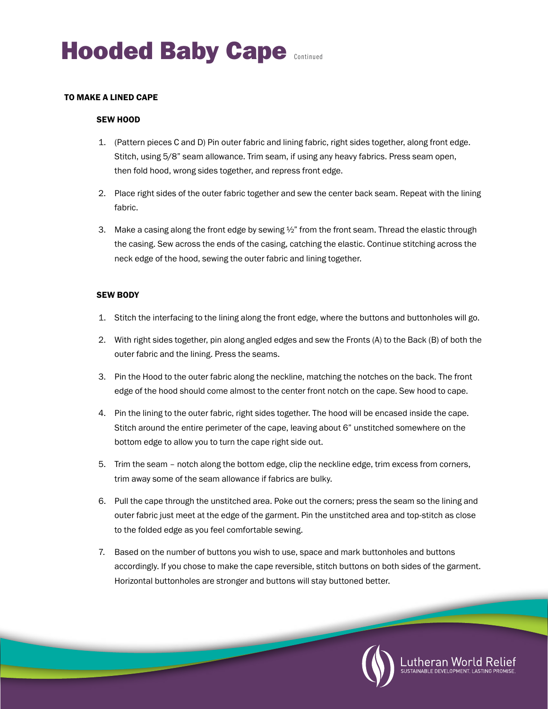#### TO MAKE A LINED CAPE

#### SEW HOOD

- 1. (Pattern pieces C and D) Pin outer fabric and lining fabric, right sides together, along front edge. Stitch, using 5/8" seam allowance. Trim seam, if using any heavy fabrics. Press seam open, then fold hood, wrong sides together, and repress front edge.
- 2. Place right sides of the outer fabric together and sew the center back seam. Repeat with the lining fabric.
- 3. Make a casing along the front edge by sewing  $\frac{1}{2}$  from the front seam. Thread the elastic through the casing. Sew across the ends of the casing, catching the elastic. Continue stitching across the neck edge of the hood, sewing the outer fabric and lining together.

#### SEW BODY

- 1. Stitch the interfacing to the lining along the front edge, where the buttons and buttonholes will go.
- 2. With right sides together, pin along angled edges and sew the Fronts (A) to the Back (B) of both the outer fabric and the lining. Press the seams.
- 3. Pin the Hood to the outer fabric along the neckline, matching the notches on the back. The front edge of the hood should come almost to the center front notch on the cape. Sew hood to cape.
- 4. Pin the lining to the outer fabric, right sides together. The hood will be encased inside the cape. Stitch around the entire perimeter of the cape, leaving about 6" unstitched somewhere on the bottom edge to allow you to turn the cape right side out.
- 5. Trim the seam notch along the bottom edge, clip the neckline edge, trim excess from corners, trim away some of the seam allowance if fabrics are bulky.
- 6. Pull the cape through the unstitched area. Poke out the corners; press the seam so the lining and outer fabric just meet at the edge of the garment. Pin the unstitched area and top-stitch as close to the folded edge as you feel comfortable sewing.
- 7. Based on the number of buttons you wish to use, space and mark buttonholes and buttons accordingly. If you chose to make the cape reversible, stitch buttons on both sides of the garment. Horizontal buttonholes are stronger and buttons will stay buttoned better.

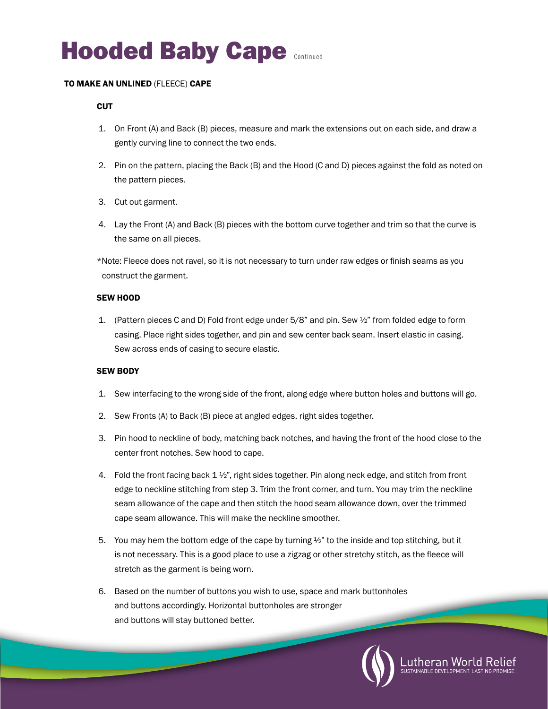# **Hooded Baby Cape Continued**

#### TO MAKE AN UNLINED (FLEECE) CAPE

#### **CUT**

- 1. On Front (A) and Back (B) pieces, measure and mark the extensions out on each side, and draw a gently curving line to connect the two ends.
- 2. Pin on the pattern, placing the Back (B) and the Hood (C and D) pieces against the fold as noted on the pattern pieces.
- 3. Cut out garment.
- 4. Lay the Front (A) and Back (B) pieces with the bottom curve together and trim so that the curve is the same on all pieces.

\*Note: Fleece does not ravel, so it is not necessary to turn under raw edges or finish seams as you construct the garment.

#### SEW HOOD

1. (Pattern pieces C and D) Fold front edge under  $5/8$ " and pin. Sew  $\frac{1}{2}$ " from folded edge to form casing. Place right sides together, and pin and sew center back seam. Insert elastic in casing. Sew across ends of casing to secure elastic.

#### SEW BODY

- 1. Sew interfacing to the wrong side of the front, along edge where button holes and buttons will go.
- 2. Sew Fronts (A) to Back (B) piece at angled edges, right sides together.
- 3. Pin hood to neckline of body, matching back notches, and having the front of the hood close to the center front notches. Sew hood to cape.
- 4. Fold the front facing back  $1\frac{1}{2}$ , right sides together. Pin along neck edge, and stitch from front edge to neckline stitching from step 3. Trim the front corner, and turn. You may trim the neckline seam allowance of the cape and then stitch the hood seam allowance down, over the trimmed cape seam allowance. This will make the neckline smoother.
- 5. You may hem the bottom edge of the cape by turning  $\frac{1}{2}$  to the inside and top stitching, but it is not necessary. This is a good place to use a zigzag or other stretchy stitch, as the fleece will stretch as the garment is being worn.
- 6. Based on the number of buttons you wish to use, space and mark buttonholes and buttons accordingly. Horizontal buttonholes are stronger and buttons will stay buttoned better.

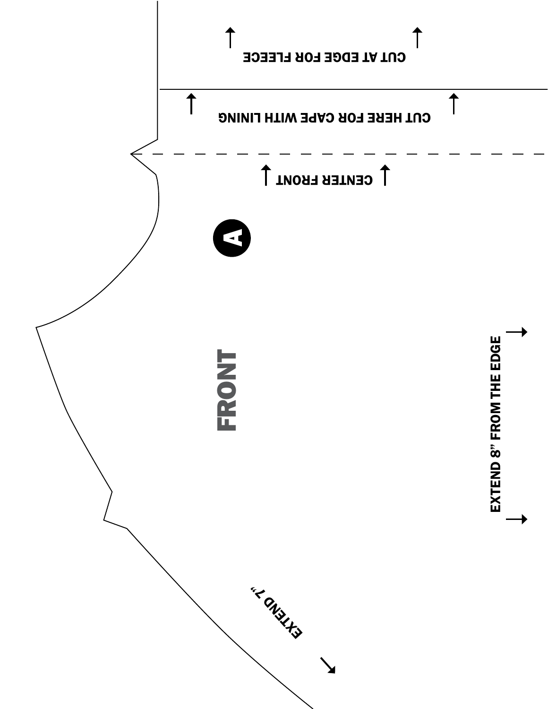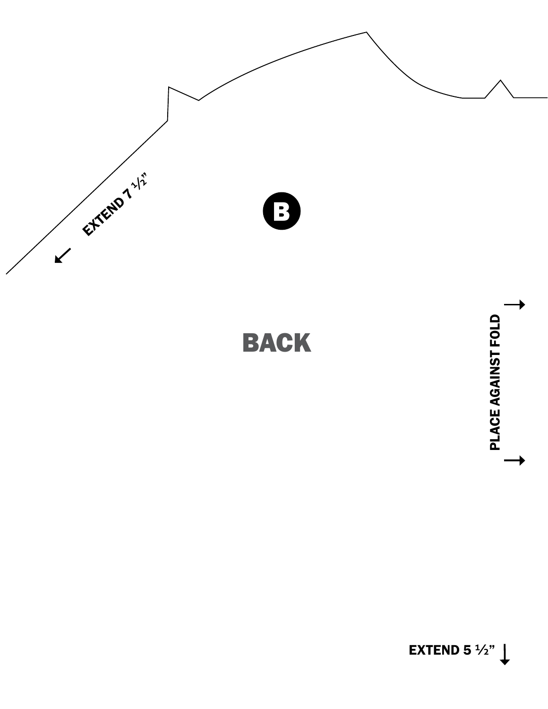

BACK

EXTEND 5  $\frac{1}{2}$ "

PLACE AGAINST FOLD

PLACE AGAINST FOLD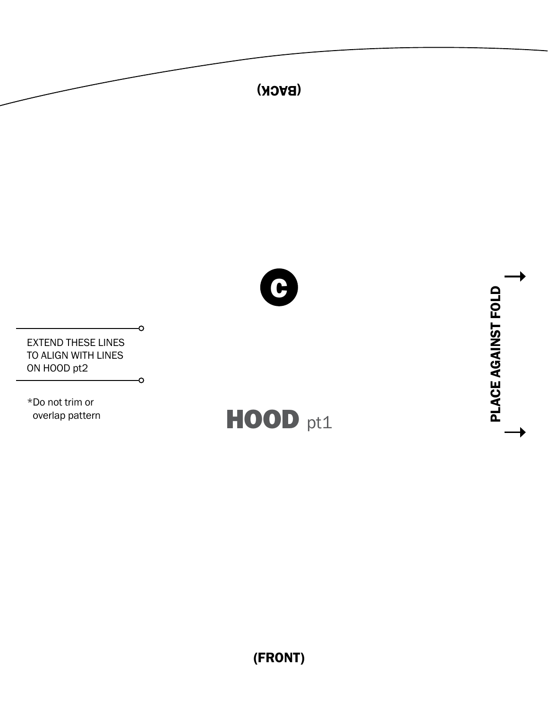

(FRONT)